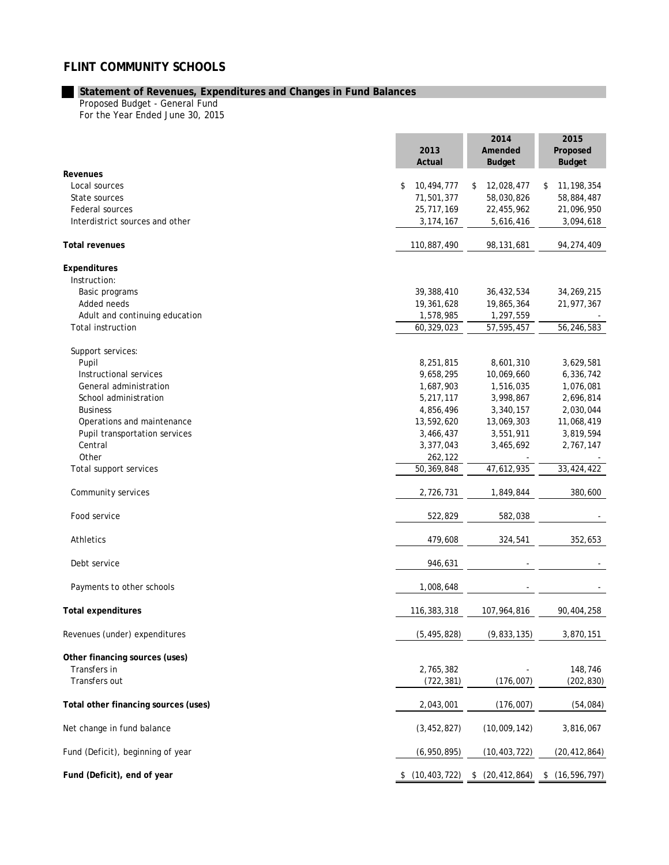## **FLINT COMMUNITY SCHOOLS**

## **Statement of Revenues, Expenditures and Changes in Fund Balances**

Proposed Budget - General Fund For the Year Ended June 30, 2015

|                                      | 2013<br>Actual       | 2014<br>Amended<br><b>Budget</b> | 2015<br>Proposed<br><b>Budget</b> |  |
|--------------------------------------|----------------------|----------------------------------|-----------------------------------|--|
| Revenues                             |                      |                                  |                                   |  |
| Local sources                        | \$<br>10,494,777     | 12,028,477<br>\$                 | 11, 198, 354<br>\$                |  |
| State sources                        | 71,501,377           | 58,030,826                       | 58,884,487                        |  |
| Federal sources                      | 25,717,169           | 22,455,962                       | 21,096,950                        |  |
| Interdistrict sources and other      | 3, 174, 167          | 5,616,416                        | 3,094,618                         |  |
| <b>Total revenues</b>                | 110,887,490          | 98, 131, 681                     | 94,274,409                        |  |
| Expenditures                         |                      |                                  |                                   |  |
| Instruction:                         |                      |                                  |                                   |  |
| Basic programs                       | 39,388,410           | 36,432,534                       | 34,269,215                        |  |
| Added needs                          | 19,361,628           | 19,865,364                       | 21,977,367                        |  |
| Adult and continuing education       | 1,578,985            | 1,297,559                        |                                   |  |
| <b>Total instruction</b>             | 60,329,023           | 57,595,457                       | 56,246,583                        |  |
| Support services:                    |                      |                                  |                                   |  |
| Pupil                                | 8,251,815            | 8,601,310                        | 3,629,581                         |  |
| Instructional services               | 9,658,295            | 10,069,660                       | 6,336,742                         |  |
| General administration               | 1,687,903            | 1,516,035                        | 1,076,081                         |  |
| School administration                | 5,217,117            | 3,998,867                        | 2,696,814                         |  |
| <b>Business</b>                      | 4,856,496            | 3,340,157                        | 2,030,044                         |  |
| Operations and maintenance           | 13,592,620           | 13,069,303                       | 11,068,419                        |  |
| Pupil transportation services        | 3,466,437            | 3,551,911                        | 3,819,594                         |  |
| Central                              | 3,377,043            | 3,465,692                        | 2,767,147                         |  |
| Other                                | 262,122              |                                  |                                   |  |
| Total support services               | 50,369,848           | 47,612,935                       | 33,424,422                        |  |
| Community services                   | 2,726,731            | 1,849,844                        | 380,600                           |  |
| Food service                         | 522,829              | 582,038                          |                                   |  |
| <b>Athletics</b>                     | 479,608              | 324,541                          | 352,653                           |  |
| Debt service                         | 946,631              |                                  |                                   |  |
| Payments to other schools            | 1,008,648            |                                  |                                   |  |
| <b>Total expenditures</b>            | 116,383,318          | 107,964,816                      | 90,404,258                        |  |
| Revenues (under) expenditures        | (5, 495, 828)        | (9,833,135)                      | 3,870,151                         |  |
| Other financing sources (uses)       |                      |                                  |                                   |  |
| Transfers in                         | 2,765,382            |                                  | 148,746                           |  |
| Transfers out                        | (722, 381)           | (176,007)                        | (202, 830)                        |  |
| Total other financing sources (uses) | 2,043,001            | (176,007)                        | (54, 084)                         |  |
| Net change in fund balance           | (3, 452, 827)        | (10,009,142)                     | 3,816,067                         |  |
| Fund (Deficit), beginning of year    | (6,950,895)          | (10, 403, 722)                   | (20, 412, 864)                    |  |
| Fund (Deficit), end of year          | (10, 403, 722)<br>\$ | \$ (20, 412, 864)                | \$(16, 596, 797)                  |  |